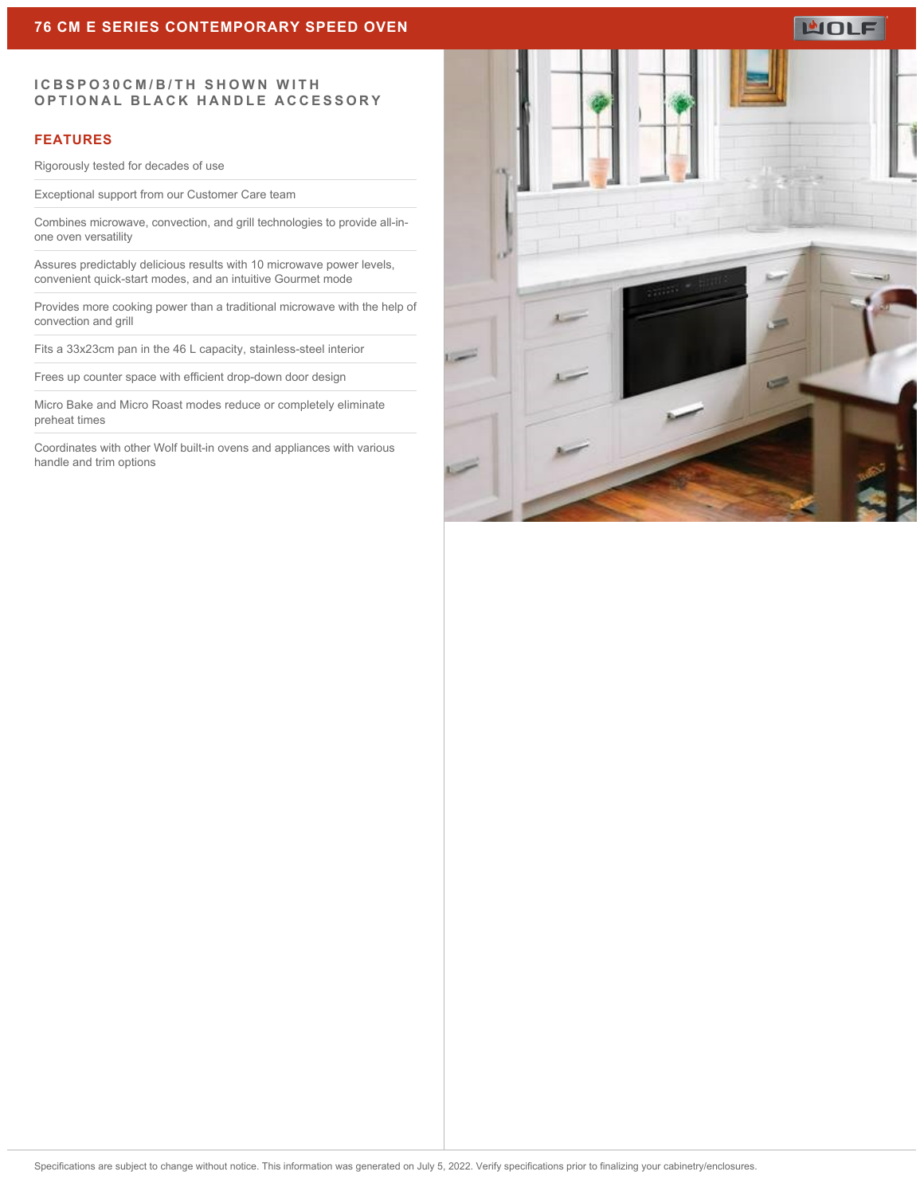# **WOLF**

### **ICBSPO30CM/B/TH SHOWN WITH OPTIONAL BLACK HANDLE ACCESSORY**

#### **FEATURES**

Rigorously tested for decades of use

Exceptional support from our Customer Care team

Combines microwave, convection, and grill technologies to provide all-inone oven versatility

Assures predictably delicious results with 10 microwave power levels, convenient quick-start modes, and an intuitive Gourmet mode

Provides more cooking power than a traditional microwave with the help of convection and grill

Fits a 33x23cm pan in the 46 L capacity, stainless-steel interior

Frees up counter space with efficient drop-down door design

Micro Bake and Micro Roast modes reduce or completely eliminate preheat times

Coordinates with other Wolf built-in ovens and appliances with various handle and trim options